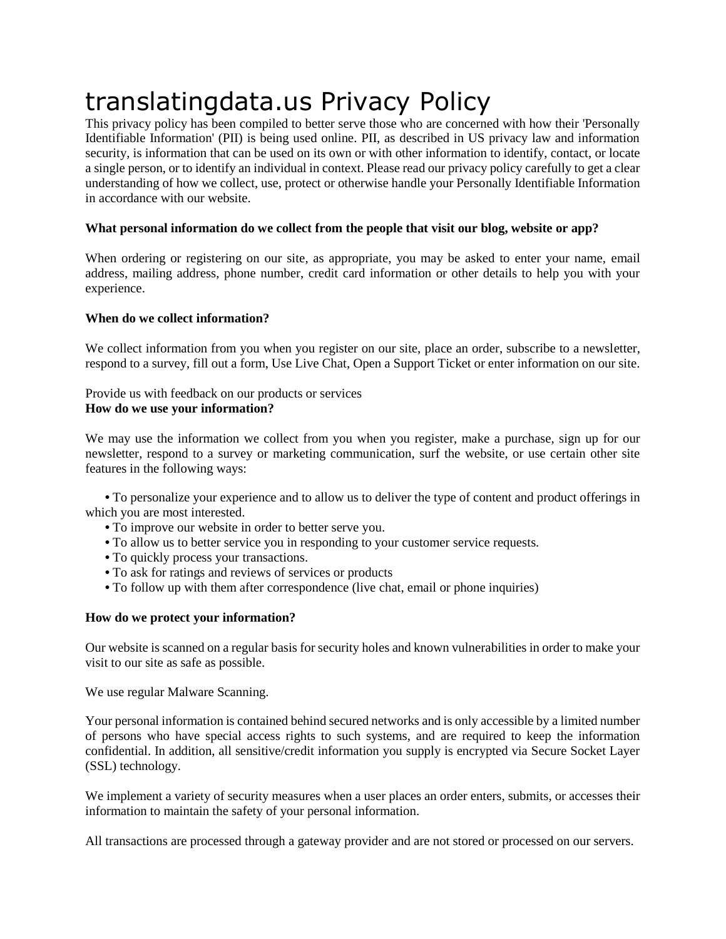# translatingdata.us Privacy Policy

This privacy policy has been compiled to better serve those who are concerned with how their 'Personally Identifiable Information' (PII) is being used online. PII, as described in US privacy law and information security, is information that can be used on its own or with other information to identify, contact, or locate a single person, or to identify an individual in context. Please read our privacy policy carefully to get a clear understanding of how we collect, use, protect or otherwise handle your Personally Identifiable Information in accordance with our website.

# **What personal information do we collect from the people that visit our blog, website or app?**

When ordering or registering on our site, as appropriate, you may be asked to enter your name, email address, mailing address, phone number, credit card information or other details to help you with your experience.

# **When do we collect information?**

We collect information from you when you register on our site, place an order, subscribe to a newsletter, respond to a survey, fill out a form, Use Live Chat, Open a Support Ticket or enter information on our site.

### Provide us with feedback on our products or services **How do we use your information?**

We may use the information we collect from you when you register, make a purchase, sign up for our newsletter, respond to a survey or marketing communication, surf the website, or use certain other site features in the following ways:

 **•** To personalize your experience and to allow us to deliver the type of content and product offerings in which you are most interested.

- **•** To improve our website in order to better serve you.
- **•** To allow us to better service you in responding to your customer service requests.
- **•** To quickly process your transactions.
- **•** To ask for ratings and reviews of services or products
- **•** To follow up with them after correspondence (live chat, email or phone inquiries)

# **How do we protect your information?**

Our website is scanned on a regular basis for security holes and known vulnerabilities in order to make your visit to our site as safe as possible.

We use regular Malware Scanning.

Your personal information is contained behind secured networks and is only accessible by a limited number of persons who have special access rights to such systems, and are required to keep the information confidential. In addition, all sensitive/credit information you supply is encrypted via Secure Socket Layer (SSL) technology.

We implement a variety of security measures when a user places an order enters, submits, or accesses their information to maintain the safety of your personal information.

All transactions are processed through a gateway provider and are not stored or processed on our servers.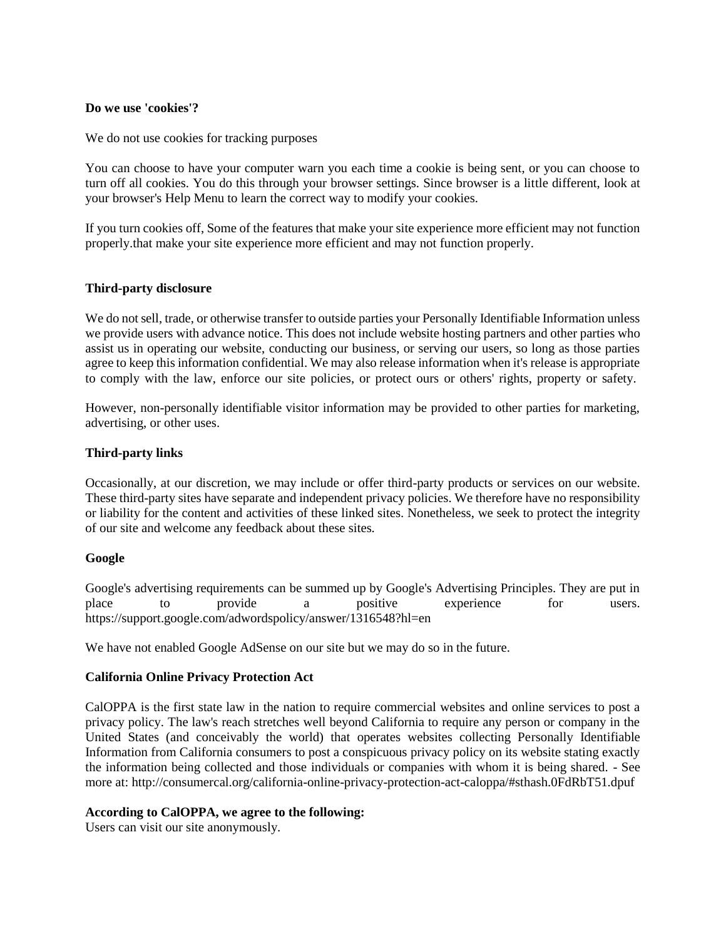#### **Do we use 'cookies'?**

We do not use cookies for tracking purposes

You can choose to have your computer warn you each time a cookie is being sent, or you can choose to turn off all cookies. You do this through your browser settings. Since browser is a little different, look at your browser's Help Menu to learn the correct way to modify your cookies.

If you turn cookies off, Some of the features that make your site experience more efficient may not function properly.that make your site experience more efficient and may not function properly.

#### **Third-party disclosure**

We do not sell, trade, or otherwise transfer to outside parties your Personally Identifiable Information unless we provide users with advance notice. This does not include website hosting partners and other parties who assist us in operating our website, conducting our business, or serving our users, so long as those parties agree to keep this information confidential. We may also release information when it's release is appropriate to comply with the law, enforce our site policies, or protect ours or others' rights, property or safety.

However, non-personally identifiable visitor information may be provided to other parties for marketing, advertising, or other uses.

#### **Third-party links**

Occasionally, at our discretion, we may include or offer third-party products or services on our website. These third-party sites have separate and independent privacy policies. We therefore have no responsibility or liability for the content and activities of these linked sites. Nonetheless, we seek to protect the integrity of our site and welcome any feedback about these sites.

#### **Google**

Google's advertising requirements can be summed up by Google's Advertising Principles. They are put in place to provide a positive experience for users. place to provide a positive experience for users. https://support.google.com/adwordspolicy/answer/1316548?hl=en

We have not enabled Google AdSense on our site but we may do so in the future.

#### **California Online Privacy Protection Act**

CalOPPA is the first state law in the nation to require commercial websites and online services to post a privacy policy. The law's reach stretches well beyond California to require any person or company in the United States (and conceivably the world) that operates websites collecting Personally Identifiable Information from California consumers to post a conspicuous privacy policy on its website stating exactly the information being collected and those individuals or companies with whom it is being shared. - See more at: http://consumercal.org/california-online-privacy-protection-act-caloppa/#sthash.0FdRbT51.dpuf

# **According to CalOPPA, we agree to the following:**

Users can visit our site anonymously.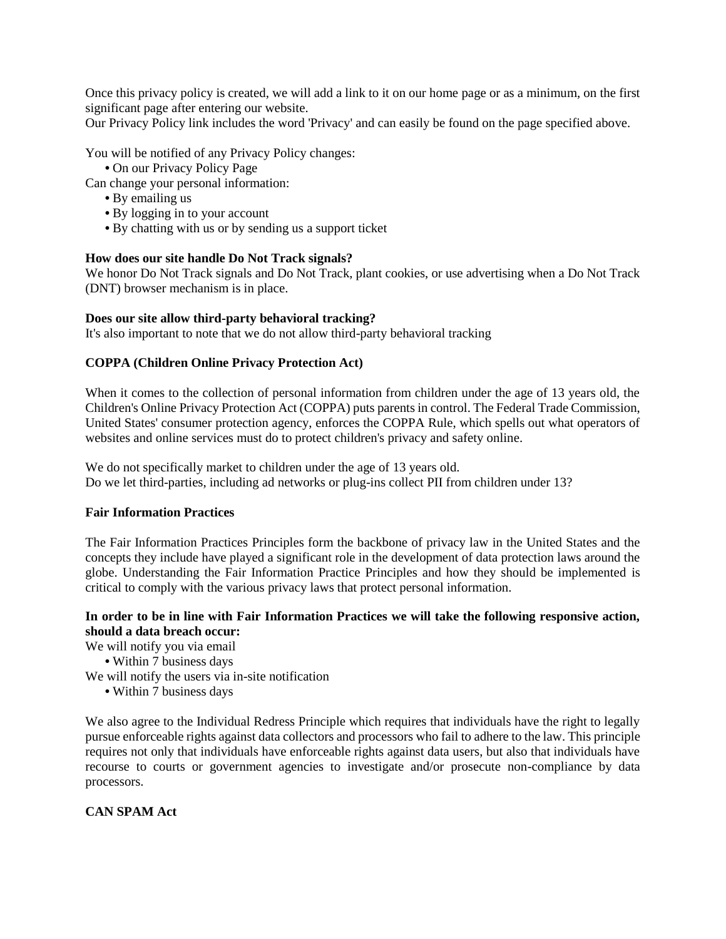Once this privacy policy is created, we will add a link to it on our home page or as a minimum, on the first significant page after entering our website.

Our Privacy Policy link includes the word 'Privacy' and can easily be found on the page specified above.

You will be notified of any Privacy Policy changes:

**•** On our Privacy Policy Page

Can change your personal information:

- **•** By emailing us
- **•** By logging in to your account
- **•** By chatting with us or by sending us a support ticket

#### **How does our site handle Do Not Track signals?**

We honor Do Not Track signals and Do Not Track, plant cookies, or use advertising when a Do Not Track (DNT) browser mechanism is in place.

#### **Does our site allow third-party behavioral tracking?**

It's also important to note that we do not allow third-party behavioral tracking

# **COPPA (Children Online Privacy Protection Act)**

When it comes to the collection of personal information from children under the age of 13 years old, the Children's Online Privacy Protection Act (COPPA) puts parents in control. The Federal Trade Commission, United States' consumer protection agency, enforces the COPPA Rule, which spells out what operators of websites and online services must do to protect children's privacy and safety online.

We do not specifically market to children under the age of 13 years old. Do we let third-parties, including ad networks or plug-ins collect PII from children under 13?

#### **Fair Information Practices**

The Fair Information Practices Principles form the backbone of privacy law in the United States and the concepts they include have played a significant role in the development of data protection laws around the globe. Understanding the Fair Information Practice Principles and how they should be implemented is critical to comply with the various privacy laws that protect personal information.

# **In order to be in line with Fair Information Practices we will take the following responsive action, should a data breach occur:**

We will notify you via email

- **•** Within 7 business days
- We will notify the users via in-site notification
	- **•** Within 7 business days

We also agree to the Individual Redress Principle which requires that individuals have the right to legally pursue enforceable rights against data collectors and processors who fail to adhere to the law. This principle requires not only that individuals have enforceable rights against data users, but also that individuals have recourse to courts or government agencies to investigate and/or prosecute non-compliance by data processors.

# **CAN SPAM Act**